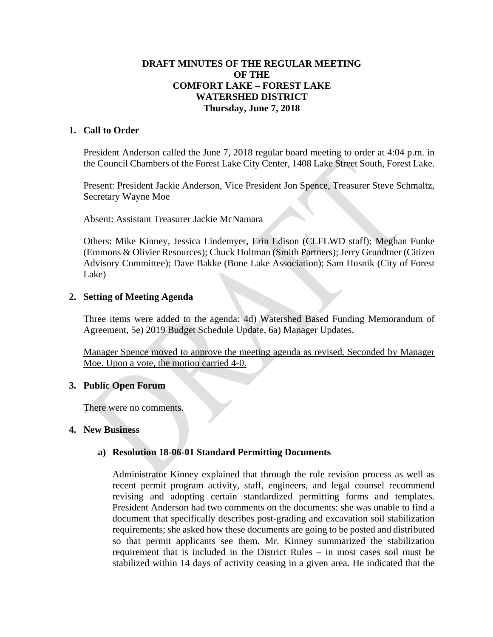## **DRAFT MINUTES OF THE REGULAR MEETING OF THE COMFORT LAKE – FOREST LAKE WATERSHED DISTRICT Thursday, June 7, 2018**

#### **1. Call to Order**

President Anderson called the June 7, 2018 regular board meeting to order at 4:04 p.m. in the Council Chambers of the Forest Lake City Center, 1408 Lake Street South, Forest Lake.

Present: President Jackie Anderson, Vice President Jon Spence, Treasurer Steve Schmaltz, Secretary Wayne Moe

Absent: Assistant Treasurer Jackie McNamara

Others: Mike Kinney, Jessica Lindemyer, Erin Edison (CLFLWD staff); Meghan Funke (Emmons & Olivier Resources); Chuck Holtman (Smith Partners); Jerry Grundtner (Citizen Advisory Committee); Dave Bakke (Bone Lake Association); Sam Husnik (City of Forest Lake)

#### **2. Setting of Meeting Agenda**

Three items were added to the agenda: 4d) Watershed Based Funding Memorandum of Agreement, 5e) 2019 Budget Schedule Update, 6a) Manager Updates.

Manager Spence moved to approve the meeting agenda as revised. Seconded by Manager Moe. Upon a vote, the motion carried 4-0.

#### **3. Public Open Forum**

There were no comments.

#### **4. New Business**

#### **a) Resolution 18-06-01 Standard Permitting Documents**

Administrator Kinney explained that through the rule revision process as well as recent permit program activity, staff, engineers, and legal counsel recommend revising and adopting certain standardized permitting forms and templates. President Anderson had two comments on the documents: she was unable to find a document that specifically describes post-grading and excavation soil stabilization requirements; she asked how these documents are going to be posted and distributed so that permit applicants see them. Mr. Kinney summarized the stabilization requirement that is included in the District Rules – in most cases soil must be stabilized within 14 days of activity ceasing in a given area. He indicated that the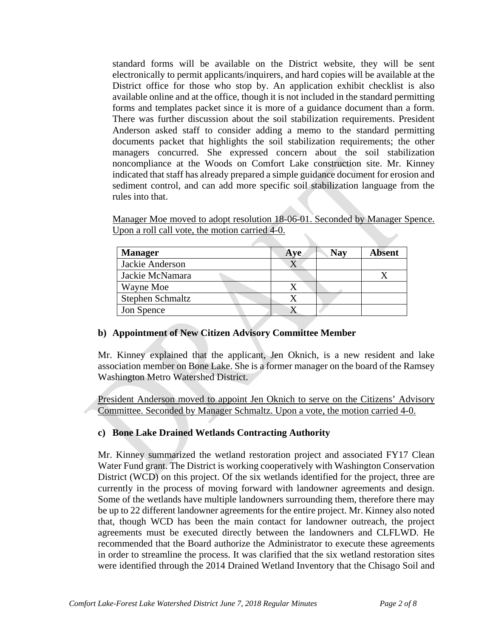standard forms will be available on the District website, they will be sent electronically to permit applicants/inquirers, and hard copies will be available at the District office for those who stop by. An application exhibit checklist is also available online and at the office, though it is not included in the standard permitting forms and templates packet since it is more of a guidance document than a form. There was further discussion about the soil stabilization requirements. President Anderson asked staff to consider adding a memo to the standard permitting documents packet that highlights the soil stabilization requirements; the other managers concurred. She expressed concern about the soil stabilization noncompliance at the Woods on Comfort Lake construction site. Mr. Kinney indicated that staff has already prepared a simple guidance document for erosion and sediment control, and can add more specific soil stabilization language from the rules into that.

Manager Moe moved to adopt resolution 18-06-01. Seconded by Manager Spence. Upon a roll call vote, the motion carried 4-0.

| <b>Manager</b>   | Ave | <b>Nay</b> | <b>Absent</b> |
|------------------|-----|------------|---------------|
| Jackie Anderson  |     |            |               |
| Jackie McNamara  |     |            |               |
| Wayne Moe        |     |            |               |
| Stephen Schmaltz |     |            |               |
| Jon Spence       |     |            |               |

#### **b) Appointment of New Citizen Advisory Committee Member**

Mr. Kinney explained that the applicant, Jen Oknich, is a new resident and lake association member on Bone Lake. She is a former manager on the board of the Ramsey Washington Metro Watershed District.

President Anderson moved to appoint Jen Oknich to serve on the Citizens' Advisory Committee. Seconded by Manager Schmaltz. Upon a vote, the motion carried 4-0.

#### **c) Bone Lake Drained Wetlands Contracting Authority**

Mr. Kinney summarized the wetland restoration project and associated FY17 Clean Water Fund grant. The District is working cooperatively with Washington Conservation District (WCD) on this project. Of the six wetlands identified for the project, three are currently in the process of moving forward with landowner agreements and design. Some of the wetlands have multiple landowners surrounding them, therefore there may be up to 22 different landowner agreements for the entire project. Mr. Kinney also noted that, though WCD has been the main contact for landowner outreach, the project agreements must be executed directly between the landowners and CLFLWD. He recommended that the Board authorize the Administrator to execute these agreements in order to streamline the process. It was clarified that the six wetland restoration sites were identified through the 2014 Drained Wetland Inventory that the Chisago Soil and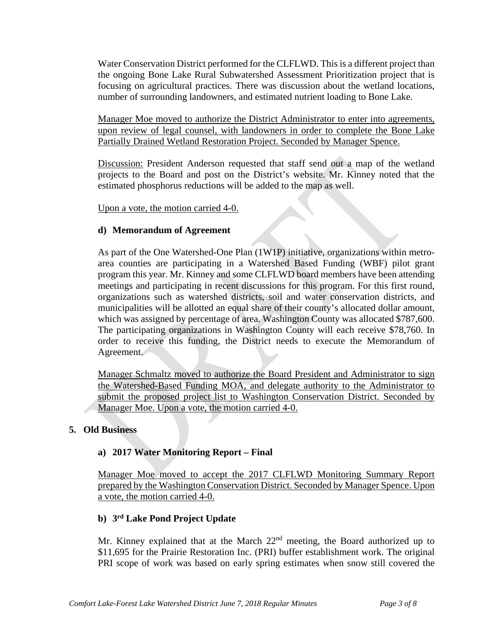Water Conservation District performed for the CLFLWD. This is a different project than the ongoing Bone Lake Rural Subwatershed Assessment Prioritization project that is focusing on agricultural practices. There was discussion about the wetland locations, number of surrounding landowners, and estimated nutrient loading to Bone Lake.

Manager Moe moved to authorize the District Administrator to enter into agreements, upon review of legal counsel, with landowners in order to complete the Bone Lake Partially Drained Wetland Restoration Project. Seconded by Manager Spence.

Discussion: President Anderson requested that staff send out a map of the wetland projects to the Board and post on the District's website. Mr. Kinney noted that the estimated phosphorus reductions will be added to the map as well.

Upon a vote, the motion carried 4-0.

## **d) Memorandum of Agreement**

As part of the One Watershed-One Plan (1W1P) initiative, organizations within metroarea counties are participating in a Watershed Based Funding (WBF) pilot grant program this year. Mr. Kinney and some CLFLWD board members have been attending meetings and participating in recent discussions for this program. For this first round, organizations such as watershed districts, soil and water conservation districts, and municipalities will be allotted an equal share of their county's allocated dollar amount, which was assigned by percentage of area. Washington County was allocated \$787,600. The participating organizations in Washington County will each receive \$78,760. In order to receive this funding, the District needs to execute the Memorandum of Agreement.

Manager Schmaltz moved to authorize the Board President and Administrator to sign the Watershed-Based Funding MOA, and delegate authority to the Administrator to submit the proposed project list to Washington Conservation District. Seconded by Manager Moe. Upon a vote, the motion carried 4-0.

#### **5. Old Business**

#### **a) 2017 Water Monitoring Report – Final**

Manager Moe moved to accept the 2017 CLFLWD Monitoring Summary Report prepared by the Washington Conservation District. Seconded by Manager Spence. Upon a vote, the motion carried 4-0.

### **b) 3rd Lake Pond Project Update**

Mr. Kinney explained that at the March 22<sup>nd</sup> meeting, the Board authorized up to \$11,695 for the Prairie Restoration Inc. (PRI) buffer establishment work. The original PRI scope of work was based on early spring estimates when snow still covered the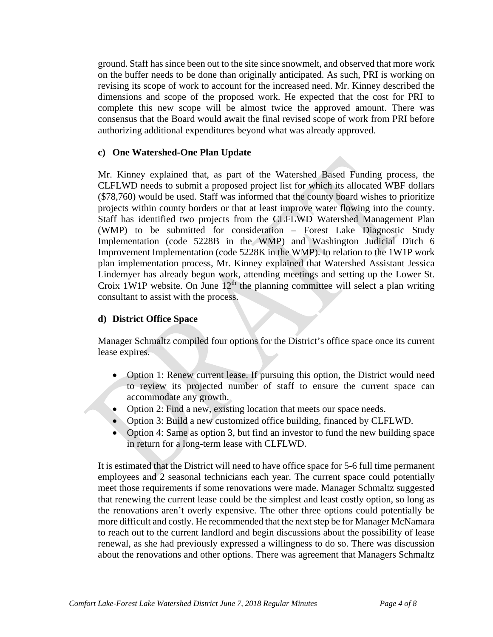ground. Staff has since been out to the site since snowmelt, and observed that more work on the buffer needs to be done than originally anticipated. As such, PRI is working on revising its scope of work to account for the increased need. Mr. Kinney described the dimensions and scope of the proposed work. He expected that the cost for PRI to complete this new scope will be almost twice the approved amount. There was consensus that the Board would await the final revised scope of work from PRI before authorizing additional expenditures beyond what was already approved.

### **c) One Watershed-One Plan Update**

Mr. Kinney explained that, as part of the Watershed Based Funding process, the CLFLWD needs to submit a proposed project list for which its allocated WBF dollars (\$78,760) would be used. Staff was informed that the county board wishes to prioritize projects within county borders or that at least improve water flowing into the county. Staff has identified two projects from the CLFLWD Watershed Management Plan (WMP) to be submitted for consideration – Forest Lake Diagnostic Study Implementation (code 5228B in the WMP) and Washington Judicial Ditch 6 Improvement Implementation (code 5228K in the WMP). In relation to the 1W1P work plan implementation process, Mr. Kinney explained that Watershed Assistant Jessica Lindemyer has already begun work, attending meetings and setting up the Lower St. Croix 1W1P website. On June  $12<sup>th</sup>$  the planning committee will select a plan writing consultant to assist with the process.

## **d) District Office Space**

Manager Schmaltz compiled four options for the District's office space once its current lease expires.

- Option 1: Renew current lease. If pursuing this option, the District would need to review its projected number of staff to ensure the current space can accommodate any growth.
- Option 2: Find a new, existing location that meets our space needs.
- Option 3: Build a new customized office building, financed by CLFLWD.
- Option 4: Same as option 3, but find an investor to fund the new building space in return for a long-term lease with CLFLWD.

It is estimated that the District will need to have office space for 5-6 full time permanent employees and 2 seasonal technicians each year. The current space could potentially meet those requirements if some renovations were made. Manager Schmaltz suggested that renewing the current lease could be the simplest and least costly option, so long as the renovations aren't overly expensive. The other three options could potentially be more difficult and costly. He recommended that the next step be for Manager McNamara to reach out to the current landlord and begin discussions about the possibility of lease renewal, as she had previously expressed a willingness to do so. There was discussion about the renovations and other options. There was agreement that Managers Schmaltz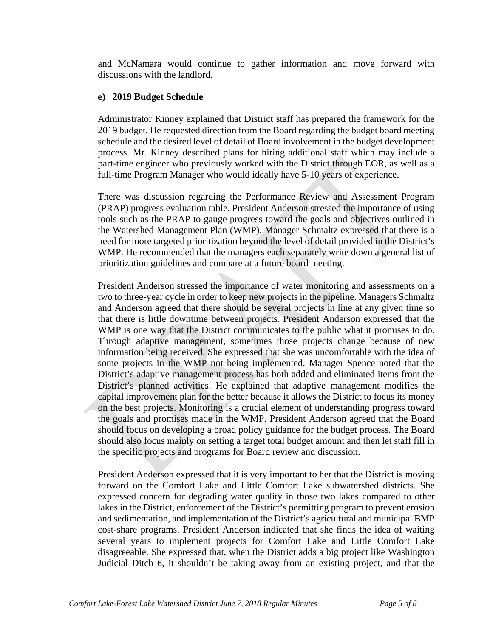and McNamara would continue to gather information and move forward with discussions with the landlord.

## **e) 2019 Budget Schedule**

Administrator Kinney explained that District staff has prepared the framework for the 2019 budget. He requested direction from the Board regarding the budget board meeting schedule and the desired level of detail of Board involvement in the budget development process. Mr. Kinney described plans for hiring additional staff which may include a part-time engineer who previously worked with the District through EOR, as well as a full-time Program Manager who would ideally have 5-10 years of experience.

There was discussion regarding the Performance Review and Assessment Program (PRAP) progress evaluation table. President Anderson stressed the importance of using tools such as the PRAP to gauge progress toward the goals and objectives outlined in the Watershed Management Plan (WMP). Manager Schmaltz expressed that there is a need for more targeted prioritization beyond the level of detail provided in the District's WMP. He recommended that the managers each separately write down a general list of prioritization guidelines and compare at a future board meeting.

President Anderson stressed the importance of water monitoring and assessments on a two to three-year cycle in order to keep new projects in the pipeline. Managers Schmaltz and Anderson agreed that there should be several projects in line at any given time so that there is little downtime between projects. President Anderson expressed that the WMP is one way that the District communicates to the public what it promises to do. Through adaptive management, sometimes those projects change because of new information being received. She expressed that she was uncomfortable with the idea of some projects in the WMP not being implemented. Manager Spence noted that the District's adaptive management process has both added and eliminated items from the District's planned activities. He explained that adaptive management modifies the capital improvement plan for the better because it allows the District to focus its money on the best projects. Monitoring is a crucial element of understanding progress toward the goals and promises made in the WMP. President Anderson agreed that the Board should focus on developing a broad policy guidance for the budget process. The Board should also focus mainly on setting a target total budget amount and then let staff fill in the specific projects and programs for Board review and discussion.

President Anderson expressed that it is very important to her that the District is moving forward on the Comfort Lake and Little Comfort Lake subwatershed districts. She expressed concern for degrading water quality in those two lakes compared to other lakes in the District, enforcement of the District's permitting program to prevent erosion and sedimentation, and implementation of the District's agricultural and municipal BMP cost-share programs. President Anderson indicated that she finds the idea of waiting several years to implement projects for Comfort Lake and Little Comfort Lake disagreeable. She expressed that, when the District adds a big project like Washington Judicial Ditch 6, it shouldn't be taking away from an existing project, and that the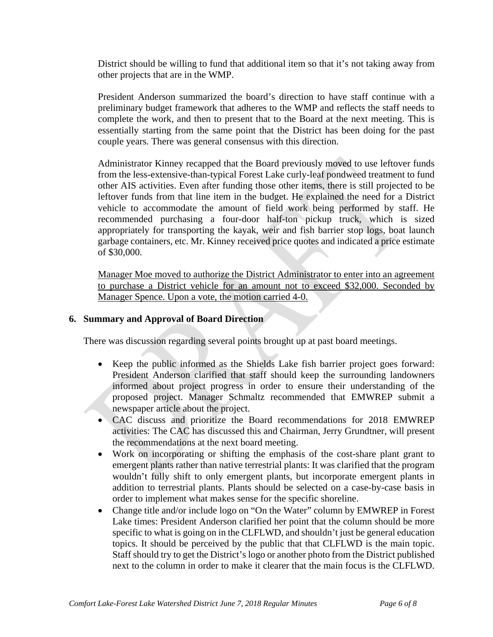District should be willing to fund that additional item so that it's not taking away from other projects that are in the WMP.

President Anderson summarized the board's direction to have staff continue with a preliminary budget framework that adheres to the WMP and reflects the staff needs to complete the work, and then to present that to the Board at the next meeting. This is essentially starting from the same point that the District has been doing for the past couple years. There was general consensus with this direction.

Administrator Kinney recapped that the Board previously moved to use leftover funds from the less-extensive-than-typical Forest Lake curly-leaf pondweed treatment to fund other AIS activities. Even after funding those other items, there is still projected to be leftover funds from that line item in the budget. He explained the need for a District vehicle to accommodate the amount of field work being performed by staff. He recommended purchasing a four-door half-ton pickup truck, which is sized appropriately for transporting the kayak, weir and fish barrier stop logs, boat launch garbage containers, etc. Mr. Kinney received price quotes and indicated a price estimate of \$30,000.

Manager Moe moved to authorize the District Administrator to enter into an agreement to purchase a District vehicle for an amount not to exceed \$32,000. Seconded by Manager Spence. Upon a vote, the motion carried 4-0.

#### **6. Summary and Approval of Board Direction**

There was discussion regarding several points brought up at past board meetings.

- Keep the public informed as the Shields Lake fish barrier project goes forward: President Anderson clarified that staff should keep the surrounding landowners informed about project progress in order to ensure their understanding of the proposed project. Manager Schmaltz recommended that EMWREP submit a newspaper article about the project.
- CAC discuss and prioritize the Board recommendations for 2018 EMWREP activities: The CAC has discussed this and Chairman, Jerry Grundtner, will present the recommendations at the next board meeting.
- Work on incorporating or shifting the emphasis of the cost-share plant grant to emergent plants rather than native terrestrial plants: It was clarified that the program wouldn't fully shift to only emergent plants, but incorporate emergent plants in addition to terrestrial plants. Plants should be selected on a case-by-case basis in order to implement what makes sense for the specific shoreline.
- Change title and/or include logo on "On the Water" column by EMWREP in Forest Lake times: President Anderson clarified her point that the column should be more specific to what is going on in the CLFLWD, and shouldn't just be general education topics. It should be perceived by the public that that CLFLWD is the main topic. Staff should try to get the District's logo or another photo from the District published next to the column in order to make it clearer that the main focus is the CLFLWD.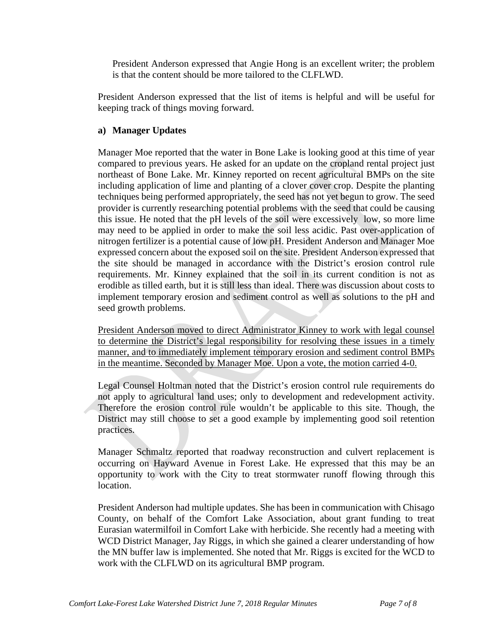President Anderson expressed that Angie Hong is an excellent writer; the problem is that the content should be more tailored to the CLFLWD.

President Anderson expressed that the list of items is helpful and will be useful for keeping track of things moving forward.

## **a) Manager Updates**

Manager Moe reported that the water in Bone Lake is looking good at this time of year compared to previous years. He asked for an update on the cropland rental project just northeast of Bone Lake. Mr. Kinney reported on recent agricultural BMPs on the site including application of lime and planting of a clover cover crop. Despite the planting techniques being performed appropriately, the seed has not yet begun to grow. The seed provider is currently researching potential problems with the seed that could be causing this issue. He noted that the pH levels of the soil were excessively low, so more lime may need to be applied in order to make the soil less acidic. Past over-application of nitrogen fertilizer is a potential cause of low pH. President Anderson and Manager Moe expressed concern about the exposed soil on the site. President Anderson expressed that the site should be managed in accordance with the District's erosion control rule requirements. Mr. Kinney explained that the soil in its current condition is not as erodible as tilled earth, but it is still less than ideal. There was discussion about costs to implement temporary erosion and sediment control as well as solutions to the pH and seed growth problems.

President Anderson moved to direct Administrator Kinney to work with legal counsel to determine the District's legal responsibility for resolving these issues in a timely manner, and to immediately implement temporary erosion and sediment control BMPs in the meantime. Seconded by Manager Moe. Upon a vote, the motion carried 4-0.

Legal Counsel Holtman noted that the District's erosion control rule requirements do not apply to agricultural land uses; only to development and redevelopment activity. Therefore the erosion control rule wouldn't be applicable to this site. Though, the District may still choose to set a good example by implementing good soil retention practices.

Manager Schmaltz reported that roadway reconstruction and culvert replacement is occurring on Hayward Avenue in Forest Lake. He expressed that this may be an opportunity to work with the City to treat stormwater runoff flowing through this location.

President Anderson had multiple updates. She has been in communication with Chisago County, on behalf of the Comfort Lake Association, about grant funding to treat Eurasian watermilfoil in Comfort Lake with herbicide. She recently had a meeting with WCD District Manager, Jay Riggs, in which she gained a clearer understanding of how the MN buffer law is implemented. She noted that Mr. Riggs is excited for the WCD to work with the CLFLWD on its agricultural BMP program.